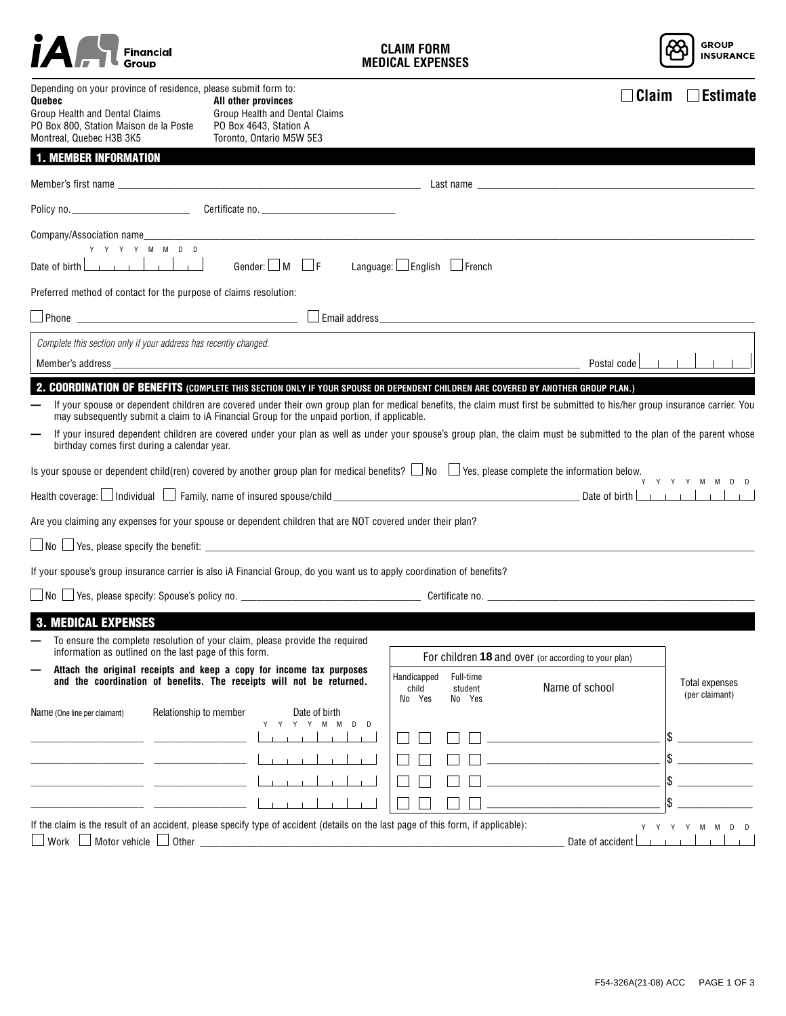|                                                                                                                                                                                   | Financial                                                                  |                                                                                                                                                                                                                                                                                                                                                                                                                                                                                                                                       | CI AIM FORM<br><b>MEDICAL EXPENSES</b> |                                |                                                                                                                                                                                                                                                                                                                                                                                                                                                                                                                                               | <b>GROUP</b><br><b>INSURANCE</b>        |
|-----------------------------------------------------------------------------------------------------------------------------------------------------------------------------------|----------------------------------------------------------------------------|---------------------------------------------------------------------------------------------------------------------------------------------------------------------------------------------------------------------------------------------------------------------------------------------------------------------------------------------------------------------------------------------------------------------------------------------------------------------------------------------------------------------------------------|----------------------------------------|--------------------------------|-----------------------------------------------------------------------------------------------------------------------------------------------------------------------------------------------------------------------------------------------------------------------------------------------------------------------------------------------------------------------------------------------------------------------------------------------------------------------------------------------------------------------------------------------|-----------------------------------------|
| Depending on your province of residence, please submit form to:<br>Quebec<br>Group Health and Dental Claims<br>PO Box 800, Station Maison de la Poste<br>Montreal, Quebec H3B 3K5 |                                                                            | All other provinces<br>Group Health and Dental Claims<br>PO Box 4643, Station A<br>Toronto, Ontario M5W 5E3                                                                                                                                                                                                                                                                                                                                                                                                                           |                                        |                                | $\Box$ Claim                                                                                                                                                                                                                                                                                                                                                                                                                                                                                                                                  | $\Box$ Estimate                         |
| <b>1. MEMBER INFORMATION</b>                                                                                                                                                      |                                                                            |                                                                                                                                                                                                                                                                                                                                                                                                                                                                                                                                       |                                        |                                |                                                                                                                                                                                                                                                                                                                                                                                                                                                                                                                                               |                                         |
|                                                                                                                                                                                   |                                                                            |                                                                                                                                                                                                                                                                                                                                                                                                                                                                                                                                       |                                        |                                |                                                                                                                                                                                                                                                                                                                                                                                                                                                                                                                                               |                                         |
|                                                                                                                                                                                   |                                                                            | Certificate no.                                                                                                                                                                                                                                                                                                                                                                                                                                                                                                                       |                                        |                                |                                                                                                                                                                                                                                                                                                                                                                                                                                                                                                                                               |                                         |
| Company/Association name                                                                                                                                                          |                                                                            |                                                                                                                                                                                                                                                                                                                                                                                                                                                                                                                                       |                                        |                                |                                                                                                                                                                                                                                                                                                                                                                                                                                                                                                                                               |                                         |
| Date of birth                                                                                                                                                                     | $Y \quad Y \quad Y \quad Y \quad M \quad M \quad D \quad D$<br>1.1.1.1.1.1 | Gender: $\Box$ M $\Box$ F                                                                                                                                                                                                                                                                                                                                                                                                                                                                                                             | Language: $\Box$ English $\Box$ French |                                |                                                                                                                                                                                                                                                                                                                                                                                                                                                                                                                                               |                                         |
| Preferred method of contact for the purpose of claims resolution:                                                                                                                 |                                                                            |                                                                                                                                                                                                                                                                                                                                                                                                                                                                                                                                       |                                        |                                |                                                                                                                                                                                                                                                                                                                                                                                                                                                                                                                                               |                                         |
|                                                                                                                                                                                   |                                                                            |                                                                                                                                                                                                                                                                                                                                                                                                                                                                                                                                       |                                        |                                | $\Box$ Phone $\Box$ Email address                                                                                                                                                                                                                                                                                                                                                                                                                                                                                                             |                                         |
|                                                                                                                                                                                   | Complete this section only if your address has recently changed.           |                                                                                                                                                                                                                                                                                                                                                                                                                                                                                                                                       |                                        |                                |                                                                                                                                                                                                                                                                                                                                                                                                                                                                                                                                               |                                         |
|                                                                                                                                                                                   |                                                                            | Member's address experience and the second state of the second state and the second state of the second state of the second state and state and state of the second state and state and state and state and state and state an                                                                                                                                                                                                                                                                                                        |                                        |                                | Postal code                                                                                                                                                                                                                                                                                                                                                                                                                                                                                                                                   |                                         |
| <b>MEDICAL EXPENSES</b>                                                                                                                                                           | birthday comes first during a calendar year.                               | may subsequently submit a claim to iA Financial Group for the unpaid portion, if applicable.<br>Health coverage: U Individual U Family, name of insured spouse/child U Communication Coverage: U Individual U<br>Are you claiming any expenses for your spouse or dependent children that are NOT covered under their plan?<br>If your spouse's group insurance carrier is also iA Financial Group, do you want us to apply coordination of benefits?<br>To ensure the complete resolution of your claim, please provide the required |                                        |                                | If your spouse or dependent children are covered under their own group plan for medical benefits, the claim must first be submitted to his/her group insurance carrier. You<br>If your insured dependent children are covered under your plan as well as under your spouse's group plan, the claim must be submitted to the plan of the parent whose<br>Is your spouse or dependent child(ren) covered by another group plan for medical benefits? $\square$ No $\square$ Yes, please complete the information below.<br>Date of birth $\Box$ | Y Y Y Y M M D D                         |
|                                                                                                                                                                                   | information as outlined on the last page of this form.                     |                                                                                                                                                                                                                                                                                                                                                                                                                                                                                                                                       |                                        |                                | For children 18 and over (or according to your plan)                                                                                                                                                                                                                                                                                                                                                                                                                                                                                          |                                         |
|                                                                                                                                                                                   |                                                                            | Attach the original receipts and keep a copy for income tax purposes<br>and the coordination of benefits. The receipts will not be returned.                                                                                                                                                                                                                                                                                                                                                                                          | Handicapped<br>child<br>No Yes         | Full-time<br>student<br>No Yes | Name of school                                                                                                                                                                                                                                                                                                                                                                                                                                                                                                                                | <b>Total expenses</b><br>(per claimant) |
| Name (One line per claimant)                                                                                                                                                      | Relationship to member                                                     | Date of birth<br>M<br>M<br>Y<br>D<br>D                                                                                                                                                                                                                                                                                                                                                                                                                                                                                                |                                        |                                | <u> 1980 - Andrea Station Barbara, amerikan per</u>                                                                                                                                                                                                                                                                                                                                                                                                                                                                                           |                                         |
|                                                                                                                                                                                   |                                                                            | If the claim is the result of an accident, please specify type of accident (details on the last page of this form, if applicable):                                                                                                                                                                                                                                                                                                                                                                                                    |                                        |                                |                                                                                                                                                                                                                                                                                                                                                                                                                                                                                                                                               | Y Y Y Y M M<br>D <sub>D</sub>           |
| Work $\Box$                                                                                                                                                                       |                                                                            |                                                                                                                                                                                                                                                                                                                                                                                                                                                                                                                                       |                                        |                                | Date of accident                                                                                                                                                                                                                                                                                                                                                                                                                                                                                                                              |                                         |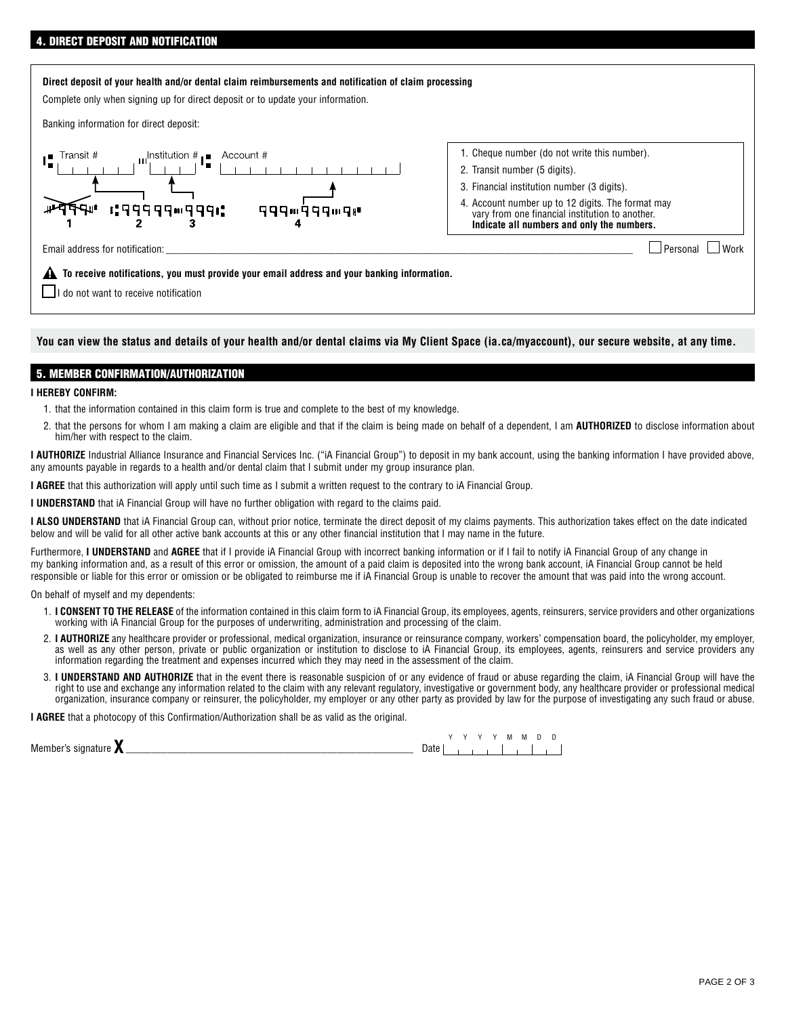## **Direct deposit of your health and/or dental claim reimbursements and notification of claim processing**

Complete only when signing up for direct deposit or to update your information.

Banking information for direct deposit:



- 1. Cheque number (do not write this number).
- 2. Transit number (5 digits).
- 3. Financial institution number (3 digits).
- 4. Account number up to 12 digits. The format may vary from one financial institution to another. **Indicate all numbers and only the numbers.**

Email address for notification: \_\_\_\_\_\_\_\_\_\_\_\_\_\_\_\_\_\_\_\_\_\_\_\_\_\_\_\_\_\_\_\_\_\_\_\_\_\_\_\_\_\_\_\_\_\_\_\_\_\_\_\_\_\_\_\_\_\_\_\_\_\_\_\_\_\_\_\_\_\_\_\_\_\_\_\_\_\_\_\_\_\_\_\_\_\_\_\_\_\_\_ Personal Work

 **To receive notifications, you must provide your email address and your banking information.**

 $\Box$ I do not want to receive notification

**You can view the status and details of your health and/or dental claims via My Client Space (ia.ca/myaccount), our secure website, at any time.**

## 5. MEMBER CONFIRMATION/AUTHORIZATION

## **I HEREBY CONFIRM:**

- 1. that the information contained in this claim form is true and complete to the best of my knowledge.
- 2. that the persons for whom I am making a claim are eligible and that if the claim is being made on behalf of a dependent, I am **AUTHORIZED** to disclose information about him/her with respect to the claim.

**I AUTHORIZE** Industrial Alliance Insurance and Financial Services Inc. ("iA Financial Group") to deposit in my bank account, using the banking information I have provided above, any amounts payable in regards to a health and/or dental claim that I submit under my group insurance plan.

**I AGREE** that this authorization will apply until such time as I submit a written request to the contrary to iA Financial Group.

**I UNDERSTAND** that iA Financial Group will have no further obligation with regard to the claims paid.

I ALSO UNDERSTAND that iA Financial Group can, without prior notice, terminate the direct deposit of my claims payments. This authorization takes effect on the date indicated below and will be valid for all other active bank accounts at this or any other financial institution that I may name in the future.

Furthermore, I UNDERSTAND and AGREE that if I provide iA Financial Group with incorrect banking information or if I fail to notify iA Financial Group of any change in my banking information and, as a result of this error or omission, the amount of a paid claim is deposited into the wrong bank account, iA Financial Group cannot be held responsible or liable for this error or omission or be obligated to reimburse me if iA Financial Group is unable to recover the amount that was paid into the wrong account.

On behalf of myself and my dependents:

- 1. **I CONSENT TO THE RELEASE** of the information contained in this claim form to iA Financial Group, its employees, agents, reinsurers, service providers and other organizations working with iA Financial Group for the purposes of underwriting, administration and processing of the claim.
- 2. **I AUTHORIZE** any healthcare provider or professional, medical organization, insurance or reinsurance company, workers' compensation board, the policyholder, my employer, as well as any other person, private or public organization or institution to disclose to iA Financial Group, its employees, agents, reinsurers and service providers any information regarding the treatment and expenses incurred which they may need in the assessment of the claim.
- 3. **I UNDERSTAND AND AUTHORIZE** that in the event there is reasonable suspicion of or any evidence of fraud or abuse regarding the claim, iA Financial Group will have the right to use and exchange any information related to the claim with any relevant regulatory, investigative or government body, any healthcare provider or professional medical organization, insurance company or reinsurer, the policyholder, my employer or any other party as provided by law for the purpose of investigating any such fraud or abuse.

**I AGREE** that a photocopy of this Confirmation/Authorization shall be as valid as the original.

|                         |      |  |  | м | М |  |  |
|-------------------------|------|--|--|---|---|--|--|
| Member's signature<br>A | Dale |  |  |   |   |  |  |